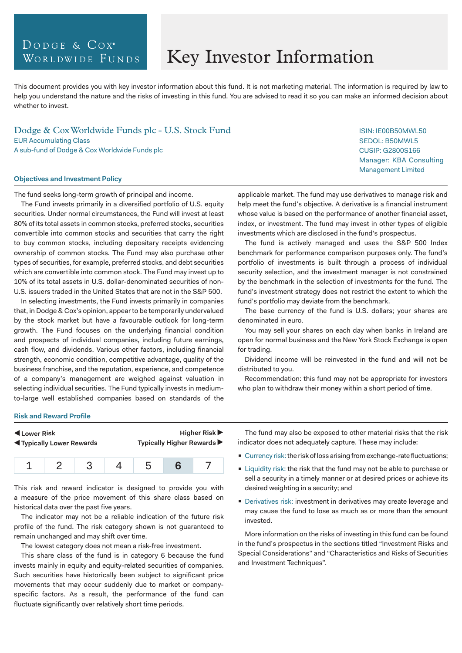# DODGE & COX<sup>®</sup> WORLDWIDE FUNDS

# Key Investor Information

This document provides you with key investor information about this fund. It is not marketing material. The information is required by law to help you understand the nature and the risks of investing in this fund. You are advised to read it so you can make an informed decision about whether to invest.

Dodge & Cox Worldwide Funds plc - U.S. Stock Fund EUR Accumulating Class A sub-fund of Dodge & Cox Worldwide Funds plc

#### **Objectives and Investment Policy**

The fund seeks long-term growth of principal and income.

The Fund invests primarily in a diversified portfolio of U.S. equity securities. Under normal circumstances, the Fund will invest at least 80% of its total assets in common stocks, preferred stocks, securities convertible into common stocks and securities that carry the right to buy common stocks, including depositary receipts evidencing ownership of common stocks. The Fund may also purchase other types of securities, for example, preferred stocks, and debt securities which are convertible into common stock. The Fund may invest up to 10% of its total assets in U.S. dollar-denominated securities of non-U.S. issuers traded in the United States that are not in the S&P 500.

In selecting investments, the Fund invests primarily in companies that, in Dodge & Cox's opinion, appear to be temporarily undervalued by the stock market but have a favourable outlook for long-term growth. The Fund focuses on the underlying financial condition and prospects of individual companies, including future earnings, cash flow, and dividends. Various other factors, including financial strength, economic condition, competitive advantage, quality of the business franchise, and the reputation, experience, and competence of a company's management are weighed against valuation in selecting individual securities. The Fund typically invests in mediumto-large well established companies based on standards of the

applicable market. The fund may use derivatives to manage risk and help meet the fund's objective. A derivative is a financial instrument whose value is based on the performance of another financial asset, index, or investment. The fund may invest in other types of eligible investments which are disclosed in the fund's prospectus.

The fund is actively managed and uses the S&P 500 Index benchmark for performance comparison purposes only. The fund's portfolio of investments is built through a process of individual security selection, and the investment manager is not constrained by the benchmark in the selection of investments for the fund. The fund's investment strategy does not restrict the extent to which the fund's portfolio may deviate from the benchmark.

The base currency of the fund is U.S. dollars; your shares are denominated in euro.

You may sell your shares on each day when banks in Ireland are open for normal business and the New York Stock Exchange is open for trading.

Dividend income will be reinvested in the fund and will not be distributed to you.

Recommendation: this fund may not be appropriate for investors who plan to withdraw their money within a short period of time.

#### **Risk and Reward Profile**

| Lower Risk<br><b>Example 1</b> Typically Lower Rewards |  |  | Higher Risk $\blacktriangleright$<br>Typically Higher Rewards ▶ |
|--------------------------------------------------------|--|--|-----------------------------------------------------------------|
|                                                        |  |  |                                                                 |

1 2 3 4 5 **6** 7

This risk and reward indicator is designed to provide you with a measure of the price movement of this share class based on historical data over the past five years.

The indicator may not be a reliable indication of the future risk profile of the fund. The risk category shown is not guaranteed to remain unchanged and may shift over time.

The lowest category does not mean a risk-free investment.

This share class of the fund is in category 6 because the fund invests mainly in equity and equity-related securities of companies. Such securities have historically been subject to significant price movements that may occur suddenly due to market or companyspecific factors. As a result, the performance of the fund can fluctuate significantly over relatively short time periods.

The fund may also be exposed to other material risks that the risk indicator does not adequately capture. These may include:

- Currency risk: the risk of loss arising from exchange-rate fluctuations;
- **Liquidity risk: the risk that the fund may not be able to purchase or** sell a security in a timely manner or at desired prices or achieve its desired weighting in a security; and
- **Derivatives risk: investment in derivatives may create leverage and** may cause the fund to lose as much as or more than the amount invested.

More information on the risks of investing in this fund can be found in the fund's prospectus in the sections titled "Investment Risks and Special Considerations" and "Characteristics and Risks of Securities and Investment Techniques".

ISIN: IE00B50MWL50 SEDOL: B50MWL5 CUSIP: G2800S166 Manager: KBA Consulting Management Limited